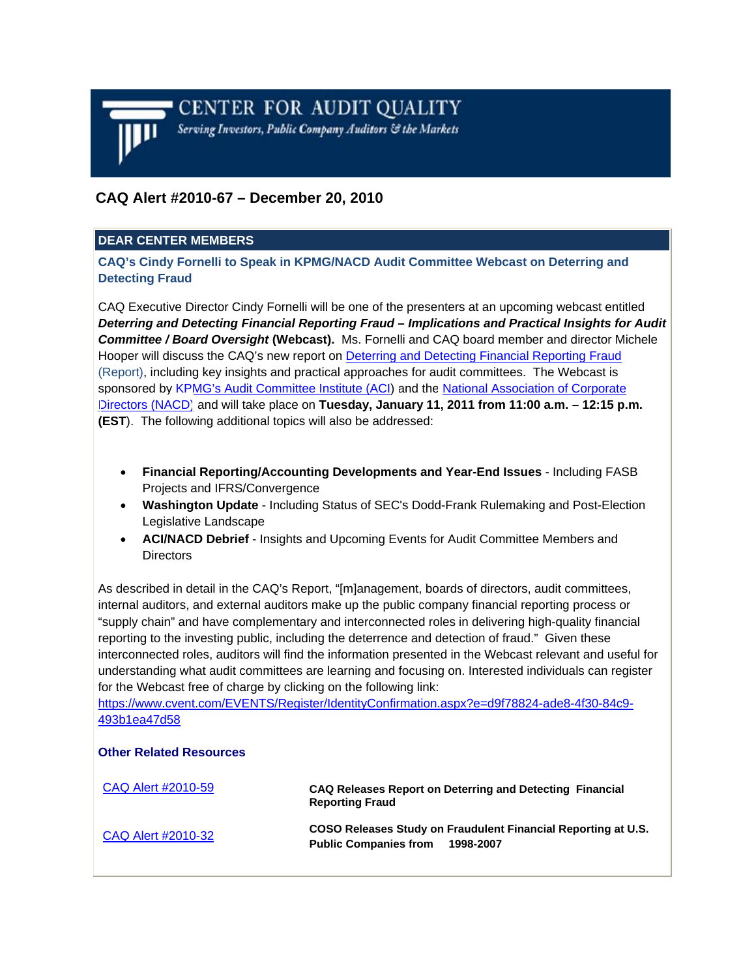

# **CAQ Alert #2010-67 – December 20, 2010**

## **DEAR CENTER MEMBERS**

**CAQ's Cindy Fornelli to Speak in KPMG/NACD Audit Committee Webcast on Deterring and Detecting Fraud**

CAQ Executive Director Cindy Fornelli will be one of the presenters at an upcoming webcast entitled *Deterring and Detecting Financial Reporting Fraud* **–** *Implications and Practical Insights for Audit Committee / Board Oversight* **(Webcast).** Ms. Fornelli and CAQ board member and director Michele Hooper will discuss the CAQ's new report o[n Deterring and Detecting Financial Reporting Fraud](http://www.thecaq.org/Anti-FraudInitiative/CAQAnti-FraudReport.pdf) (Report), including key insights and practical approaches for audit committees. The Webcast is sponsored by [KPMG's Audit Committee Institute \(ACI\)](http://www.kpmginstitutes.com/aci/index.aspx) and th[e National Association of Corporate](http://www.nacdonline.org/)  [Directors \(NACD\)](http://www.nacdonline.org/) and will take place on **Tuesday, January 11, 2011 from 11:00 a.m. – 12:15 p.m. (EST**). The following additional topics will also be addressed:

- **Financial Reporting/Accounting Developments and Year-End Issues** Including FASB Projects and IFRS/Convergence
- **Washington Update** Including Status of SEC's Dodd-Frank Rulemaking and Post-Election Legislative Landscape
- **ACI/NACD Debrief** Insights and Upcoming Events for Audit Committee Members and **Directors**

As described in detail in the CAQ's Report, "[m]anagement, boards of directors, audit committees, internal auditors, and external auditors make up the public company financial reporting process or "supply chain" and have complementary and interconnected roles in delivering high-quality financial reporting to the investing public, including the deterrence and detection of fraud." Given these interconnected roles, auditors will find the information presented in the Webcast relevant and useful for understanding what audit committees are learning and focusing on. Interested individuals can register for the Webcast free of charge by clicking on the following link:

[https://www.cvent.com/EVENTS/Register/IdentityConfirmation.aspx?e=d9f78824-ade8-4f30-84c9-](https://www.cvent.com/EVENTS/Register/IdentityConfirmation.aspx?e=d9f78824-ade8-4f30-84c9-493b1ea47d58) 493b1ea47d58

#### **Other Related Resources**

| CAQ Alert #2010-59 | CAQ Releases Report on Deterring and Detecting Financial<br><b>Reporting Fraud</b>                         |
|--------------------|------------------------------------------------------------------------------------------------------------|
| CAQ Alert #2010-32 | COSO Releases Study on Fraudulent Financial Reporting at U.S.<br><b>Public Companies from</b><br>1998-2007 |